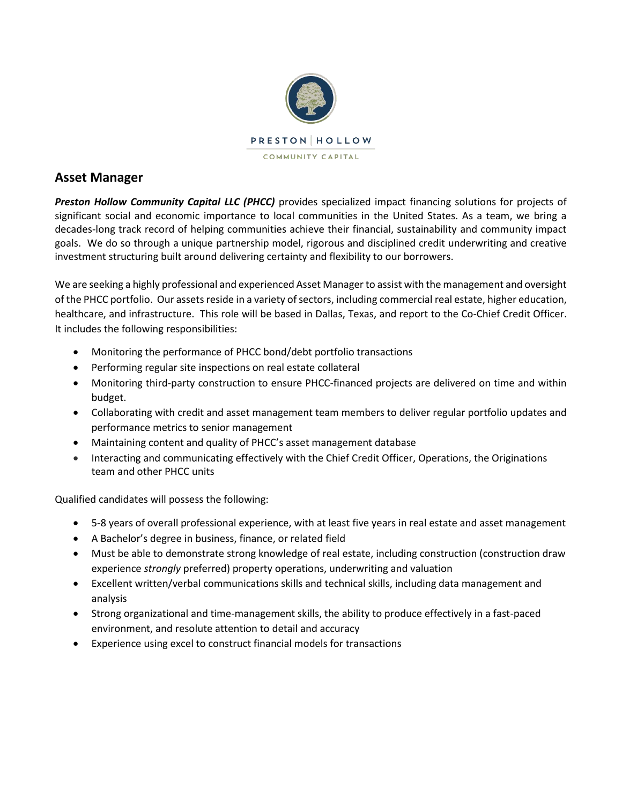

## **Asset Manager**

*Preston Hollow Community Capital LLC (PHCC)* provides specialized impact financing solutions for projects of significant social and economic importance to local communities in the United States. As a team, we bring a decades-long track record of helping communities achieve their financial, sustainability and community impact goals. We do so through a unique partnership model, rigorous and disciplined credit underwriting and creative investment structuring built around delivering certainty and flexibility to our borrowers.

We are seeking a highly professional and experienced Asset Manager to assist with the management and oversight of the PHCC portfolio. Our assets reside in a variety of sectors, including commercial real estate, higher education, healthcare, and infrastructure. This role will be based in Dallas, Texas, and report to the Co-Chief Credit Officer. It includes the following responsibilities:

- Monitoring the performance of PHCC bond/debt portfolio transactions
- Performing regular site inspections on real estate collateral
- Monitoring third-party construction to ensure PHCC-financed projects are delivered on time and within budget.
- Collaborating with credit and asset management team members to deliver regular portfolio updates and performance metrics to senior management
- Maintaining content and quality of PHCC's asset management database
- Interacting and communicating effectively with the Chief Credit Officer, Operations, the Originations team and other PHCC units

Qualified candidates will possess the following:

- 5-8 years of overall professional experience, with at least five years in real estate and asset management
- A Bachelor's degree in business, finance, or related field
- Must be able to demonstrate strong knowledge of real estate, including construction (construction draw experience *strongly* preferred) property operations, underwriting and valuation
- Excellent written/verbal communications skills and technical skills, including data management and analysis
- Strong organizational and time-management skills, the ability to produce effectively in a fast-paced environment, and resolute attention to detail and accuracy
- Experience using excel to construct financial models for transactions